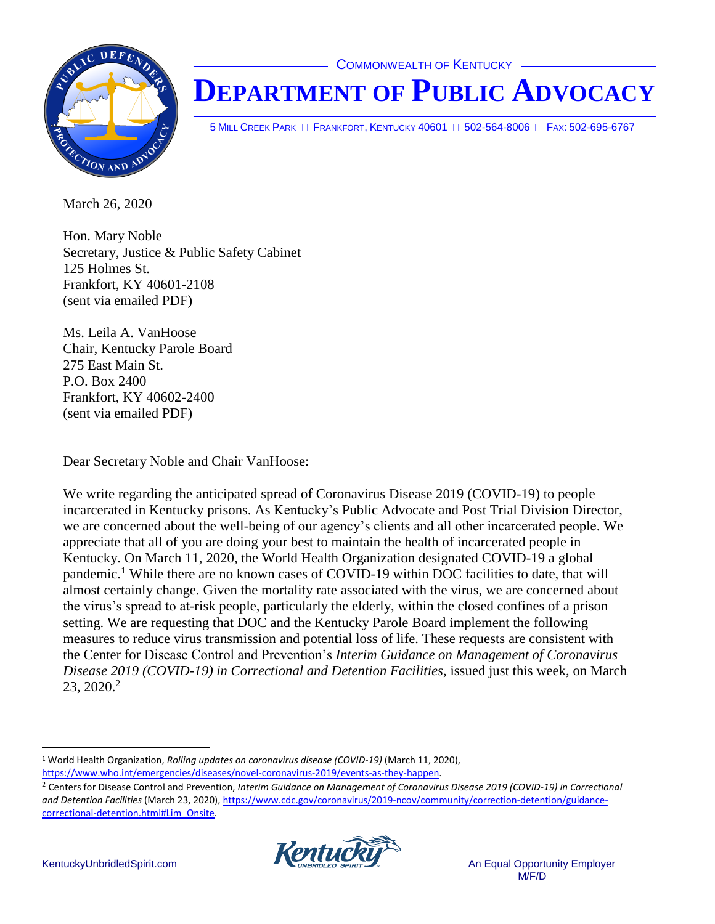**COMMONWEALTH OF KENTUCKY** 



## **DEPARTMENT OF PUBLIC ADVOCACY**

5 MILL CREEK PARK **E FRANKFORT, KENTUCKY 40601 E 502-564-8006** E FAX: 502-695-6767

March 26, 2020

Hon. Mary Noble Secretary, Justice & Public Safety Cabinet 125 Holmes St. Frankfort, KY 40601-2108 (sent via emailed PDF)

Ms. Leila A. VanHoose Chair, Kentucky Parole Board 275 East Main St. P.O. Box 2400 Frankfort, KY 40602-2400 (sent via emailed PDF)

Dear Secretary Noble and Chair VanHoose:

We write regarding the anticipated spread of Coronavirus Disease 2019 (COVID-19) to people incarcerated in Kentucky prisons. As Kentucky's Public Advocate and Post Trial Division Director, we are concerned about the well-being of our agency's clients and all other incarcerated people. We appreciate that all of you are doing your best to maintain the health of incarcerated people in Kentucky. On March 11, 2020, the World Health Organization designated COVID-19 a global pandemic.<sup>1</sup> While there are no known cases of COVID-19 within DOC facilities to date, that will almost certainly change. Given the mortality rate associated with the virus, we are concerned about the virus's spread to at-risk people, particularly the elderly, within the closed confines of a prison setting. We are requesting that DOC and the Kentucky Parole Board implement the following measures to reduce virus transmission and potential loss of life. These requests are consistent with the Center for Disease Control and Prevention's *Interim Guidance on Management of Coronavirus Disease 2019 (COVID-19) in Correctional and Detention Facilities*, issued just this week, on March  $23, 2020.2$ 

<sup>2</sup> Centers for Disease Control and Prevention, *Interim Guidance on Management of Coronavirus Disease 2019 (COVID-19) in Correctional and Detention Facilities* (March 23, 2020), [https://www.cdc.gov/coronavirus/2019-ncov/community/correction-detention/guidance](https://www.cdc.gov/coronavirus/2019-ncov/community/correction-detention/guidance-correctional-detention.html#Lim_Onsite)[correctional-detention.html#Lim\\_Onsite.](https://www.cdc.gov/coronavirus/2019-ncov/community/correction-detention/guidance-correctional-detention.html#Lim_Onsite)



<sup>1</sup> World Health Organization, *Rolling updates on coronavirus disease (COVID-19)* (March 11, 2020), [https://www.who.int/emergencies/diseases/novel-coronavirus-2019/events-as-they-happen.](https://www.who.int/emergencies/diseases/novel-coronavirus-2019/events-as-they-happen)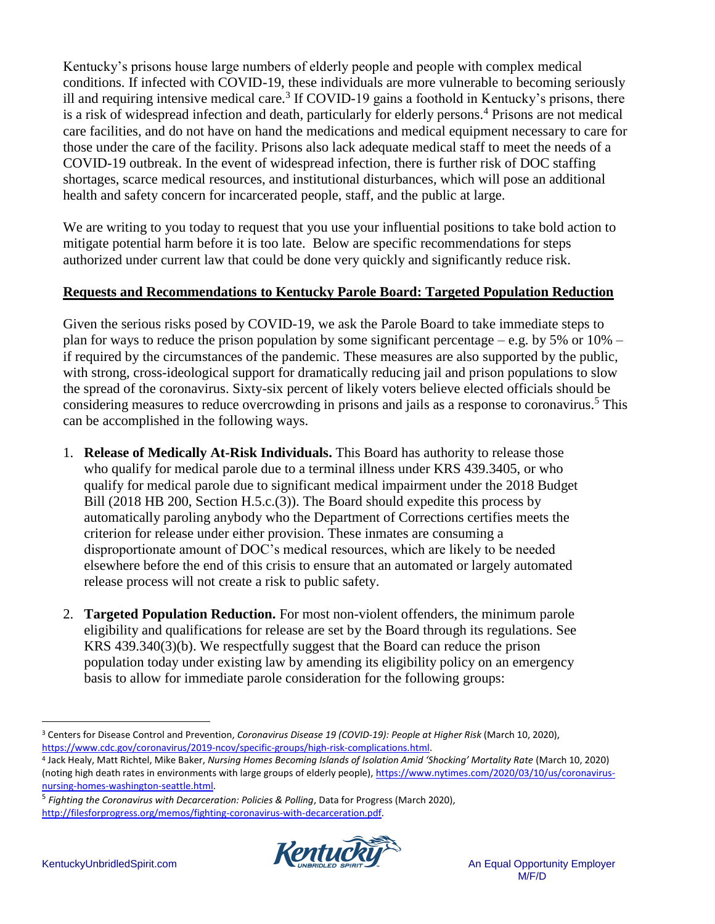Kentucky's prisons house large numbers of elderly people and people with complex medical conditions. If infected with COVID-19, these individuals are more vulnerable to becoming seriously ill and requiring intensive medical care.<sup>3</sup> If COVID-19 gains a foothold in Kentucky's prisons, there is a risk of widespread infection and death, particularly for elderly persons.<sup>4</sup> Prisons are not medical care facilities, and do not have on hand the medications and medical equipment necessary to care for those under the care of the facility. Prisons also lack adequate medical staff to meet the needs of a COVID-19 outbreak. In the event of widespread infection, there is further risk of DOC staffing shortages, scarce medical resources, and institutional disturbances, which will pose an additional health and safety concern for incarcerated people, staff, and the public at large.

We are writing to you today to request that you use your influential positions to take bold action to mitigate potential harm before it is too late. Below are specific recommendations for steps authorized under current law that could be done very quickly and significantly reduce risk.

## **Requests and Recommendations to Kentucky Parole Board: Targeted Population Reduction**

Given the serious risks posed by COVID-19, we ask the Parole Board to take immediate steps to plan for ways to reduce the prison population by some significant percentage – e.g. by 5% or  $10\%$  – if required by the circumstances of the pandemic. These measures are also supported by the public, with strong, cross-ideological support for dramatically reducing jail and prison populations to slow the spread of the coronavirus. Sixty-six percent of likely voters believe elected officials should be considering measures to reduce overcrowding in prisons and jails as a response to coronavirus.<sup>5</sup> This can be accomplished in the following ways.

- 1. **Release of Medically At-Risk Individuals.** This Board has authority to release those who qualify for medical parole due to a terminal illness under KRS 439.3405, or who qualify for medical parole due to significant medical impairment under the 2018 Budget Bill (2018 HB 200, Section H.5.c.(3)). The Board should expedite this process by automatically paroling anybody who the Department of Corrections certifies meets the criterion for release under either provision. These inmates are consuming a disproportionate amount of DOC's medical resources, which are likely to be needed elsewhere before the end of this crisis to ensure that an automated or largely automated release process will not create a risk to public safety.
- 2. **Targeted Population Reduction.** For most non-violent offenders, the minimum parole eligibility and qualifications for release are set by the Board through its regulations. See KRS 439.340(3)(b). We respectfully suggest that the Board can reduce the prison population today under existing law by amending its eligibility policy on an emergency basis to allow for immediate parole consideration for the following groups:

<sup>5</sup> *Fighting the Coronavirus with Decarceration: Policies & Polling*, Data for Progress (March 2020), [http://filesforprogress.org/memos/fighting-coronavirus-with-decarceration.pdf.](http://filesforprogress.org/memos/fighting-coronavirus-with-decarceration.pdf)



 $\overline{a}$ <sup>3</sup> Centers for Disease Control and Prevention, *Coronavirus Disease 19 (COVID-19): People at Higher Risk* (March 10, 2020), [https://www.cdc.gov/coronavirus/2019-ncov/specific-groups/high-risk-complications.html.](https://www.cdc.gov/coronavirus/2019-ncov/specific-groups/high-risk-complications.html)

<sup>4</sup> Jack Healy, Matt Richtel, Mike Baker, *Nursing Homes Becoming Islands of Isolation Amid 'Shocking' Mortality Rate* (March 10, 2020) (noting high death rates in environments with large groups of elderly people), [https://www.nytimes.com/2020/03/10/us/coronavirus](https://www.nytimes.com/2020/03/10/us/coronavirus-nursing-homes-washington-seattle.html)[nursing-homes-washington-seattle.html.](https://www.nytimes.com/2020/03/10/us/coronavirus-nursing-homes-washington-seattle.html)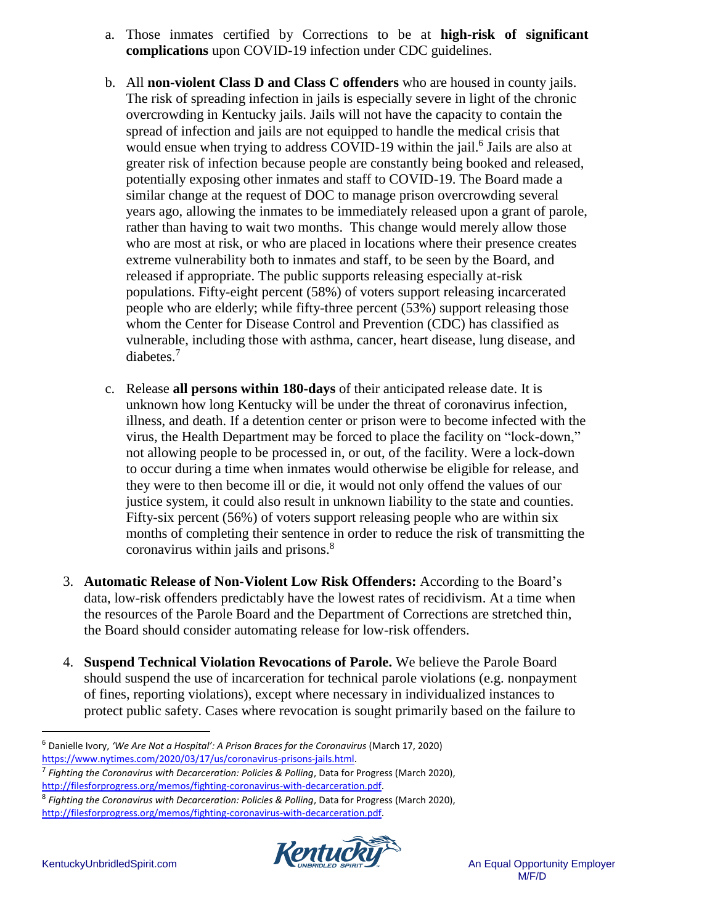- a. Those inmates certified by Corrections to be at **high-risk of significant complications** upon COVID-19 infection under CDC guidelines.
- b. All **non-violent Class D and Class C offenders** who are housed in county jails. The risk of spreading infection in jails is especially severe in light of the chronic overcrowding in Kentucky jails. Jails will not have the capacity to contain the spread of infection and jails are not equipped to handle the medical crisis that would ensue when trying to address COVID-19 within the jail.<sup>6</sup> Jails are also at greater risk of infection because people are constantly being booked and released, potentially exposing other inmates and staff to COVID-19. The Board made a similar change at the request of DOC to manage prison overcrowding several years ago, allowing the inmates to be immediately released upon a grant of parole, rather than having to wait two months. This change would merely allow those who are most at risk, or who are placed in locations where their presence creates extreme vulnerability both to inmates and staff, to be seen by the Board, and released if appropriate. The public supports releasing especially at-risk populations. Fifty-eight percent (58%) of voters support releasing incarcerated people who are elderly; while fifty-three percent (53%) support releasing those whom the Center for Disease Control and Prevention (CDC) has classified as vulnerable, including those with asthma, cancer, heart disease, lung disease, and diabetes.<sup>7</sup>
- c. Release **all persons within 180-days** of their anticipated release date. It is unknown how long Kentucky will be under the threat of coronavirus infection, illness, and death. If a detention center or prison were to become infected with the virus, the Health Department may be forced to place the facility on "lock-down," not allowing people to be processed in, or out, of the facility. Were a lock-down to occur during a time when inmates would otherwise be eligible for release, and they were to then become ill or die, it would not only offend the values of our justice system, it could also result in unknown liability to the state and counties. Fifty-six percent (56%) of voters support releasing people who are within six months of completing their sentence in order to reduce the risk of transmitting the coronavirus within jails and prisons.<sup>8</sup>
- 3. **Automatic Release of Non-Violent Low Risk Offenders:** According to the Board's data, low-risk offenders predictably have the lowest rates of recidivism. At a time when the resources of the Parole Board and the Department of Corrections are stretched thin, the Board should consider automating release for low-risk offenders.
- 4. **Suspend Technical Violation Revocations of Parole.** We believe the Parole Board should suspend the use of incarceration for technical parole violations (e.g. nonpayment of fines, reporting violations), except where necessary in individualized instances to protect public safety. Cases where revocation is sought primarily based on the failure to

<sup>8</sup> *Fighting the Coronavirus with Decarceration: Policies & Polling*, Data for Progress (March 2020), [http://filesforprogress.org/memos/fighting-coronavirus-with-decarceration.pdf.](http://filesforprogress.org/memos/fighting-coronavirus-with-decarceration.pdf)



<sup>6</sup> Danielle Ivory, *'We Are Not a Hospital': A Prison Braces for the Coronavirus* (March 17, 2020) [https://www.nytimes.com/2020/03/17/us/coronavirus-prisons-jails.html.](https://www.nytimes.com/2020/03/17/us/coronavirus-prisons-jails.html)

<sup>7</sup> *Fighting the Coronavirus with Decarceration: Policies & Polling*, Data for Progress (March 2020), [http://filesforprogress.org/memos/fighting-coronavirus-with-decarceration.pdf.](http://filesforprogress.org/memos/fighting-coronavirus-with-decarceration.pdf)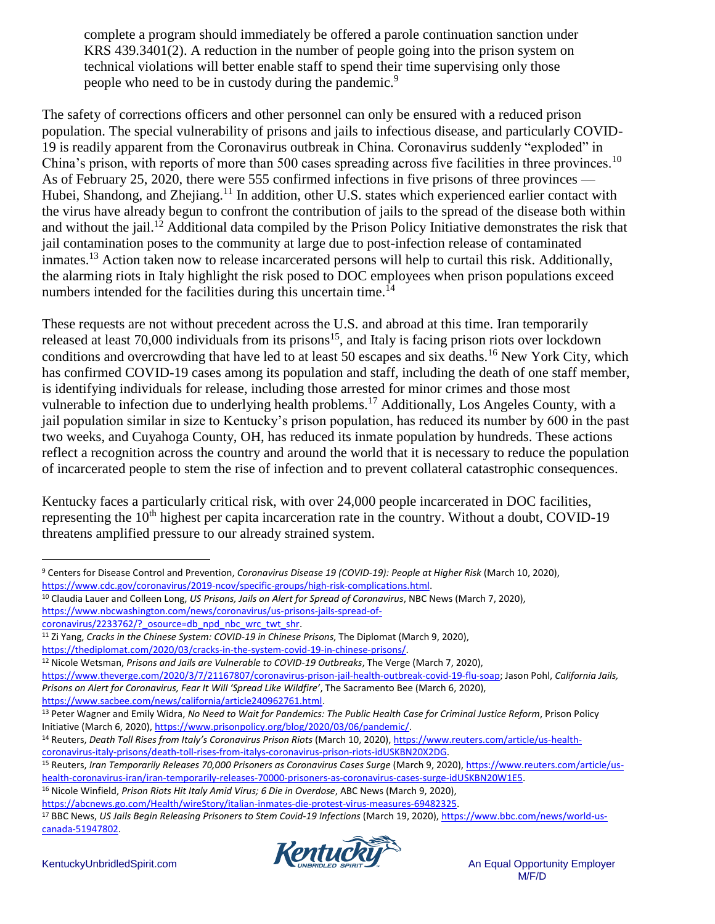complete a program should immediately be offered a parole continuation sanction under KRS 439.3401(2). A reduction in the number of people going into the prison system on technical violations will better enable staff to spend their time supervising only those people who need to be in custody during the pandemic.<sup>9</sup>

The safety of corrections officers and other personnel can only be ensured with a reduced prison population. The special vulnerability of prisons and jails to infectious disease, and particularly COVID-19 is readily apparent from the Coronavirus outbreak in China. Coronavirus suddenly "exploded" in China's prison, with reports of more than 500 cases spreading across five facilities in three provinces.<sup>10</sup> As of February 25, 2020, there were 555 confirmed infections in five prisons of three provinces — Hubei, Shandong, and Zhejiang.<sup>11</sup> In addition, other U.S. states which experienced earlier contact with the virus have already begun to confront the contribution of jails to the spread of the disease both within and without the jail.<sup>12</sup> Additional data compiled by the Prison Policy Initiative demonstrates the risk that jail contamination poses to the community at large due to post-infection release of contaminated inmates.<sup>13</sup> Action taken now to release incarcerated persons will help to curtail this risk. Additionally, the alarming riots in Italy highlight the risk posed to DOC employees when prison populations exceed numbers intended for the facilities during this uncertain time.<sup>14</sup>

These requests are not without precedent across the U.S. and abroad at this time. Iran temporarily released at least 70,000 individuals from its prisons<sup>15</sup>, and Italy is facing prison riots over lockdown conditions and overcrowding that have led to at least 50 escapes and six deaths.<sup>16</sup> New York City, which has confirmed COVID-19 cases among its population and staff, including the death of one staff member, is identifying individuals for release, including those arrested for minor crimes and those most vulnerable to infection due to underlying health problems.<sup>17</sup> Additionally, Los Angeles County, with a jail population similar in size to Kentucky's prison population, has reduced its number by 600 in the past two weeks, and Cuyahoga County, OH, has reduced its inmate population by hundreds. These actions reflect a recognition across the country and around the world that it is necessary to reduce the population of incarcerated people to stem the rise of infection and to prevent collateral catastrophic consequences.

Kentucky faces a particularly critical risk, with over 24,000 people incarcerated in DOC facilities, representing the 10<sup>th</sup> highest per capita incarceration rate in the country. Without a doubt, COVID-19 threatens amplified pressure to our already strained system.

<sup>10</sup> Claudia Lauer and Colleen Long, *US Prisons, Jails on Alert for Spread of Coronavirus*, NBC News (March 7, 2020), [https://www.nbcwashington.com/news/coronavirus/us-prisons-jails-spread-of-](https://www.nbcwashington.com/news/coronavirus/us-prisons-jails-spread-of-coronavirus/2233762/?_osource=db_npd_nbc_wrc_twt_shr)

<sup>17</sup> BBC News, *US Jails Begin Releasing Prisoners to Stem Covid-19 Infections* (March 19, 2020)[, https://www.bbc.com/news/world-us](https://www.bbc.com/news/world-us-canada-51947802)[canada-51947802.](https://www.bbc.com/news/world-us-canada-51947802) 



<sup>9</sup> Centers for Disease Control and Prevention, *Coronavirus Disease 19 (COVID-19): People at Higher Risk* (March 10, 2020), [https://www.cdc.gov/coronavirus/2019-ncov/specific-groups/high-risk-complications.html.](https://www.cdc.gov/coronavirus/2019-ncov/specific-groups/high-risk-complications.html)

[coronavirus/2233762/?\\_osource=db\\_npd\\_nbc\\_wrc\\_twt\\_shr.](https://www.nbcwashington.com/news/coronavirus/us-prisons-jails-spread-of-coronavirus/2233762/?_osource=db_npd_nbc_wrc_twt_shr)

<sup>11</sup> Zi Yang, *Cracks in the Chinese System: COVID-19 in Chinese Prisons*, The Diplomat (March 9, 2020),

[https://thediplomat.com/2020/03/cracks-in-the-system-covid-19-in-chinese-prisons/.](https://thediplomat.com/2020/03/cracks-in-the-system-covid-19-in-chinese-prisons/) <sup>12</sup> Nicole Wetsman, *Prisons and Jails are Vulnerable to COVID-19 Outbreaks*, The Verge (March 7, 2020),

[https://www.theverge.com/2020/3/7/21167807/coronavirus-prison-jail-health-outbreak-covid-19-flu-soap;](https://www.theverge.com/2020/3/7/21167807/coronavirus-prison-jail-health-outbreak-covid-19-flu-soap) Jason Pohl, *California Jails, Prisons on Alert for Coronavirus, Fear It Will 'Spread Like Wildfire'*, The Sacramento Bee (March 6, 2020),

[https://www.sacbee.com/news/california/article240962761.html.](https://www.sacbee.com/news/california/article240962761.html)

<sup>13</sup> Peter Wagner and Emily Widra, *No Need to Wait for Pandemics: The Public Health Case for Criminal Justice Reform*, Prison Policy Initiative (March 6, 2020)[, https://www.prisonpolicy.org/blog/2020/03/06/pandemic/.](https://www.prisonpolicy.org/blog/2020/03/06/pandemic/) 

<sup>14</sup> Reuters, *Death Toll Rises from Italy's Coronavirus Prison Riots* (March 10, 2020)[, https://www.reuters.com/article/us-health](https://www.reuters.com/article/us-health-coronavirus-italy-prisons/death-toll-rises-from-italys-coronavirus-prison-riots-idUSKBN20X2DG)[coronavirus-italy-prisons/death-toll-rises-from-italys-coronavirus-prison-riots-idUSKBN20X2DG.](https://www.reuters.com/article/us-health-coronavirus-italy-prisons/death-toll-rises-from-italys-coronavirus-prison-riots-idUSKBN20X2DG)

<sup>15</sup> Reuters, *Iran Temporarily Releases 70,000 Prisoners as Coronavirus Cases Surge* (March 9, 2020)[, https://www.reuters.com/article/us](https://www.reuters.com/article/us-health-coronavirus-iran/iran-temporarily-releases-70000-prisoners-as-coronavirus-cases-surge-idUSKBN20W1E5)[health-coronavirus-iran/iran-temporarily-releases-70000-prisoners-as-coronavirus-cases-surge-idUSKBN20W1E5.](https://www.reuters.com/article/us-health-coronavirus-iran/iran-temporarily-releases-70000-prisoners-as-coronavirus-cases-surge-idUSKBN20W1E5)

<sup>16</sup> Nicole Winfield, *Prison Riots Hit Italy Amid Virus; 6 Die in Overdose*, ABC News (March 9, 2020),

[https://abcnews.go.com/Health/wireStory/italian-inmates-die-protest-virus-measures-69482325.](https://abcnews.go.com/Health/wireStory/italian-inmates-die-protest-virus-measures-69482325)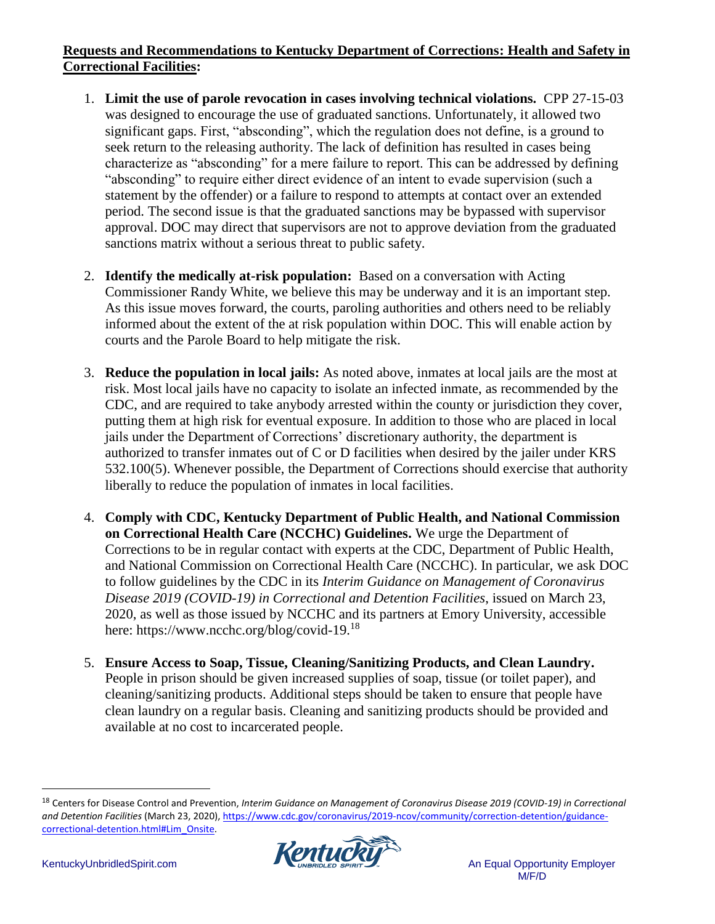## **Requests and Recommendations to Kentucky Department of Corrections: Health and Safety in Correctional Facilities:**

- 1. **Limit the use of parole revocation in cases involving technical violations.** CPP 27-15-03 was designed to encourage the use of graduated sanctions. Unfortunately, it allowed two significant gaps. First, "absconding", which the regulation does not define, is a ground to seek return to the releasing authority. The lack of definition has resulted in cases being characterize as "absconding" for a mere failure to report. This can be addressed by defining "absconding" to require either direct evidence of an intent to evade supervision (such a statement by the offender) or a failure to respond to attempts at contact over an extended period. The second issue is that the graduated sanctions may be bypassed with supervisor approval. DOC may direct that supervisors are not to approve deviation from the graduated sanctions matrix without a serious threat to public safety.
- 2. **Identify the medically at-risk population:** Based on a conversation with Acting Commissioner Randy White, we believe this may be underway and it is an important step. As this issue moves forward, the courts, paroling authorities and others need to be reliably informed about the extent of the at risk population within DOC. This will enable action by courts and the Parole Board to help mitigate the risk.
- 3. **Reduce the population in local jails:** As noted above, inmates at local jails are the most at risk. Most local jails have no capacity to isolate an infected inmate, as recommended by the CDC, and are required to take anybody arrested within the county or jurisdiction they cover, putting them at high risk for eventual exposure. In addition to those who are placed in local jails under the Department of Corrections' discretionary authority, the department is authorized to transfer inmates out of C or D facilities when desired by the jailer under KRS 532.100(5). Whenever possible, the Department of Corrections should exercise that authority liberally to reduce the population of inmates in local facilities.
- 4. **Comply with CDC, Kentucky Department of Public Health, and National Commission on Correctional Health Care (NCCHC) Guidelines.** We urge the Department of Corrections to be in regular contact with experts at the CDC, Department of Public Health, and National Commission on Correctional Health Care (NCCHC). In particular, we ask DOC to follow guidelines by the CDC in its *Interim Guidance on Management of Coronavirus Disease 2019 (COVID-19) in Correctional and Detention Facilities*, issued on March 23, 2020, as well as those issued by NCCHC and its partners at Emory University, accessible here: https://www.ncchc.org/blog/covid-19.<sup>18</sup>
- 5. **Ensure Access to Soap, Tissue, Cleaning/Sanitizing Products, and Clean Laundry.** People in prison should be given increased supplies of soap, tissue (or toilet paper), and cleaning/sanitizing products. Additional steps should be taken to ensure that people have clean laundry on a regular basis. Cleaning and sanitizing products should be provided and available at no cost to incarcerated people.

<sup>18</sup> Centers for Disease Control and Prevention, *Interim Guidance on Management of Coronavirus Disease 2019 (COVID-19) in Correctional and Detention Facilities* (March 23, 2020), [https://www.cdc.gov/coronavirus/2019-ncov/community/correction-detention/guidance](https://www.cdc.gov/coronavirus/2019-ncov/community/correction-detention/guidance-correctional-detention.html#Lim_Onsite)[correctional-detention.html#Lim\\_Onsite.](https://www.cdc.gov/coronavirus/2019-ncov/community/correction-detention/guidance-correctional-detention.html#Lim_Onsite)

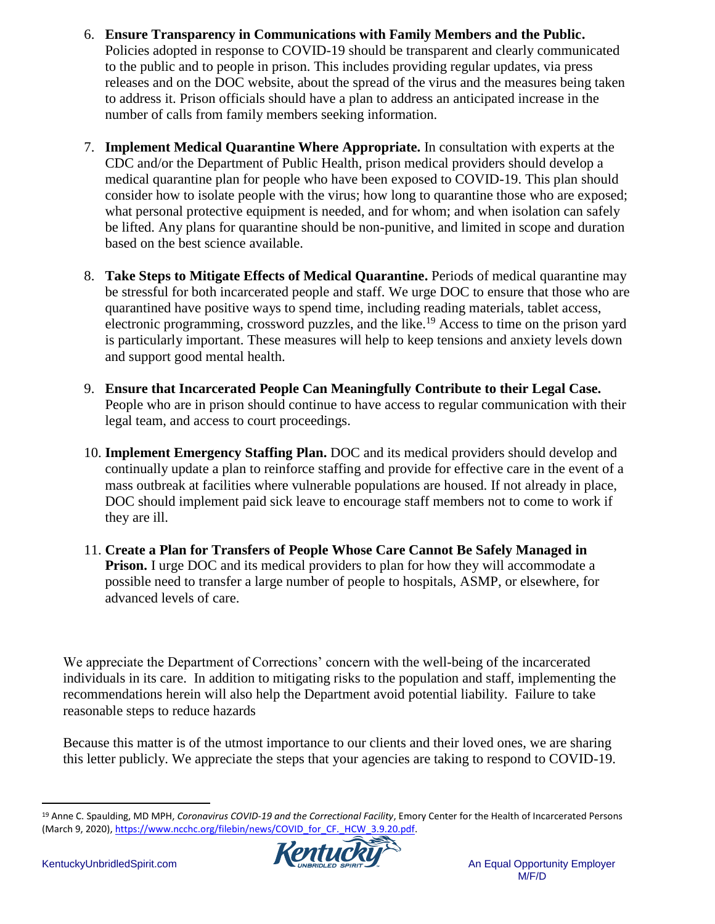- 6. **Ensure Transparency in Communications with Family Members and the Public.** Policies adopted in response to COVID-19 should be transparent and clearly communicated to the public and to people in prison. This includes providing regular updates, via press releases and on the DOC website, about the spread of the virus and the measures being taken to address it. Prison officials should have a plan to address an anticipated increase in the number of calls from family members seeking information.
- 7. **Implement Medical Quarantine Where Appropriate.** In consultation with experts at the CDC and/or the Department of Public Health, prison medical providers should develop a medical quarantine plan for people who have been exposed to COVID-19. This plan should consider how to isolate people with the virus; how long to quarantine those who are exposed; what personal protective equipment is needed, and for whom; and when isolation can safely be lifted. Any plans for quarantine should be non-punitive, and limited in scope and duration based on the best science available.
- 8. **Take Steps to Mitigate Effects of Medical Quarantine.** Periods of medical quarantine may be stressful for both incarcerated people and staff. We urge DOC to ensure that those who are quarantined have positive ways to spend time, including reading materials, tablet access, electronic programming, crossword puzzles, and the like.<sup>19</sup> Access to time on the prison yard is particularly important. These measures will help to keep tensions and anxiety levels down and support good mental health.
- 9. **Ensure that Incarcerated People Can Meaningfully Contribute to their Legal Case.** People who are in prison should continue to have access to regular communication with their legal team, and access to court proceedings.
- 10. **Implement Emergency Staffing Plan.** DOC and its medical providers should develop and continually update a plan to reinforce staffing and provide for effective care in the event of a mass outbreak at facilities where vulnerable populations are housed. If not already in place, DOC should implement paid sick leave to encourage staff members not to come to work if they are ill.
- 11. **Create a Plan for Transfers of People Whose Care Cannot Be Safely Managed in Prison.** I urge DOC and its medical providers to plan for how they will accommodate a possible need to transfer a large number of people to hospitals, ASMP, or elsewhere, for advanced levels of care.

We appreciate the Department of Corrections' concern with the well-being of the incarcerated individuals in its care. In addition to mitigating risks to the population and staff, implementing the recommendations herein will also help the Department avoid potential liability. Failure to take reasonable steps to reduce hazards

Because this matter is of the utmost importance to our clients and their loved ones, we are sharing this letter publicly. We appreciate the steps that your agencies are taking to respond to COVID-19.

<sup>19</sup> Anne C. Spaulding, MD MPH, *Coronavirus COVID-19 and the Correctional Facility*, Emory Center for the Health of Incarcerated Persons (March 9, 2020), https://www.ncchc.org/filebin/news/COVID\_for\_CF.\_HCW\_3.9.20.pdf.